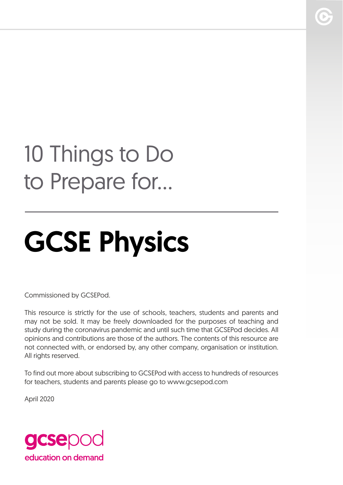## 10 Things to Do to Prepare for...

# GCSE Physics

Commissioned by GCSEPod.

This resource is strictly for the use of schools, teachers, students and parents and may not be sold. It may be freely downloaded for the purposes of teaching and study during the coronavirus pandemic and until such time that GCSEPod decides. All opinions and contributions are those of the authors. The contents of this resource are not connected with, or endorsed by, any other company, organisation or institution. All rights reserved.

To find out more about subscribing to GCSEPod with access to hundreds of resources for teachers, students and parents please go to www.gcsepod.com

April 2020

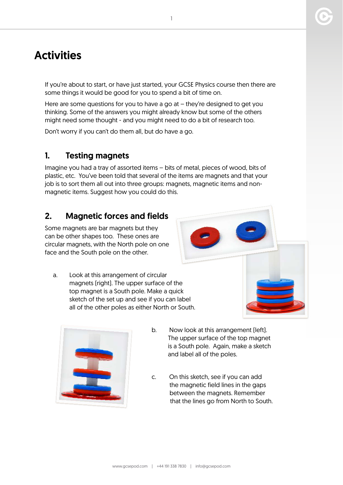### **Activities**

If you're about to start, or have just started, your GCSE Physics course then there are some things it would be good for you to spend a bit of time on.

Here are some questions for you to have a go at – they're designed to get you thinking. Some of the answers you might already know but some of the others might need some thought - and you might need to do a bit of research too.

Don't worry if you can't do them all, but do have a go.

#### 1. Testing magnets

Imagine you had a tray of assorted items – bits of metal, pieces of wood, bits of plastic, etc. You've been told that several of the items are magnets and that your job is to sort them all out into three groups: magnets, magnetic items and nonmagnetic items. Suggest how you could do this.

#### 2. Magnetic forces and fields

Some magnets are bar magnets but they can be other shapes too. These ones are circular magnets, with the North pole on one face and the South pole on the other.

a. Look at this arrangement of circular magnets (right). The upper surface of the top magnet is a South pole. Make a quick sketch of the set up and see if you can label all of the other poles as either North or South.



- b. Now look at this arrangement (left). The upper surface of the top magnet is a South pole. Again, make a sketch and label all of the poles.
- c. On this sketch, see if you can add the magnetic field lines in the gaps between the magnets. Remember that the lines go from North to South.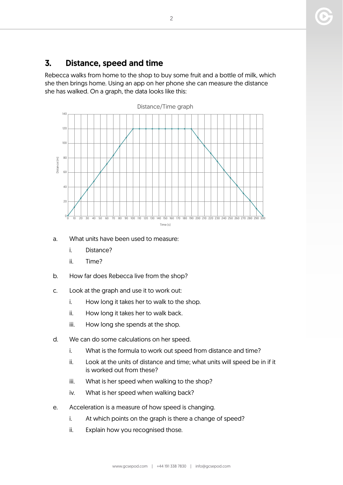#### 3. Distance, speed and time

Rebecca walks from home to the shop to buy some fruit and a bottle of milk, which she then brings home. Using an app on her phone she can measure the distance she has walked. On a graph, the data looks like this:



#### a. What units have been used to measure:

- i. Distance?
- ii. Time?
- b. How far does Rebecca live from the shop?
- c. Look at the graph and use it to work out:
	- i. How long it takes her to walk to the shop.
	- ii. How long it takes her to walk back.
	- iii. How long she spends at the shop.
- d. We can do some calculations on her speed.
	- i. What is the formula to work out speed from distance and time?
	- ii. Look at the units of distance and time; what units will speed be in if it is worked out from these?
	- iii. What is her speed when walking to the shop?
	- iv. What is her speed when walking back?
- e. Acceleration is a measure of how speed is changing.
	- i. At which points on the graph is there a change of speed?
	- ii. Explain how you recognised those.

2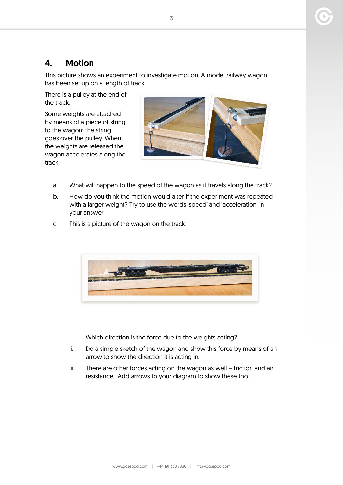#### 4. Motion

This picture shows an experiment to investigate motion. A model railway wagon has been set up on a length of track.

There is a pulley at the end of the track.

Some weights are attached by means of a piece of string to the wagon; the string goes over the pulley. When the weights are released the wagon accelerates along the track.



- a. What will happen to the speed of the wagon as it travels along the track?
- b. How do you think the motion would alter if the experiment was repeated with a larger weight? Try to use the words 'speed' and 'acceleration' in your answer.
- c. This is a picture of the wagon on the track.



- i. Which direction is the force due to the weights acting?
- ii. Do a simple sketch of the wagon and show this force by means of an arrow to show the direction it is acting in.
- iii. There are other forces acting on the wagon as well friction and air resistance. Add arrows to your diagram to show these too.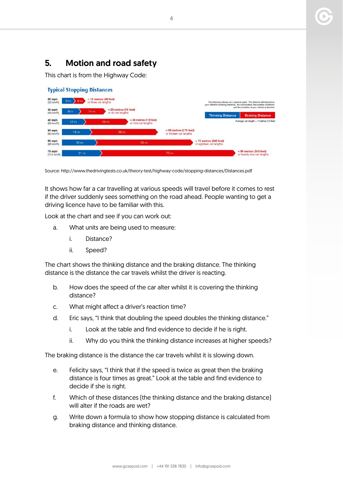#### 5. Motion and road safety

This chart is from the Highway Code:

|                                                                                                   | <b>Typical Stopping Distances</b> |                 |                                               |                          |                                                     |                                                                                                                                                                                                        |                                                        |  |
|---------------------------------------------------------------------------------------------------|-----------------------------------|-----------------|-----------------------------------------------|--------------------------|-----------------------------------------------------|--------------------------------------------------------------------------------------------------------------------------------------------------------------------------------------------------------|--------------------------------------------------------|--|
| 20 mph<br>$= 12$ metres (40 feet)<br>$\frac{1}{2}$ 6 m<br>6m<br>or three car lengths<br>(32 km/h) |                                   |                 |                                               |                          |                                                     | The distances shown are a general guide. The distance will depend on<br>your attention (thinking distance), the road surface, the weather conditions<br>and the condition of your vehicle at the time. |                                                        |  |
| 30 mph<br>$(48 \text{ km/h})$<br>40 mph                                                           | 9 <sub>m</sub>                    | 14 <sub>m</sub> | $= 23$ metres (75 feet)<br>or six car lengths | $= 36$ metres (118 feet) |                                                     | <b>Thinking Distance</b>                                                                                                                                                                               | <b>Braking Distance</b>                                |  |
| (64 km/h)                                                                                         | 12 <sub>m</sub>                   |                 | 24 m                                          | or nine car lengths      |                                                     |                                                                                                                                                                                                        | Average car length $=$ 4 metres (13 feet)              |  |
| 50 mph<br>(80 km/h)                                                                               | 15 <sub>m</sub>                   |                 | 38 m                                          |                          | $= 53$ metres (175 feet)<br>or thirteen car lengths |                                                                                                                                                                                                        |                                                        |  |
| 60 mph<br>(96 km/h)                                                                               | 18 <sub>m</sub>                   |                 |                                               | 55 <sub>m</sub>          |                                                     | $= 73$ metres (240 feet)<br>or eighteen car lengths                                                                                                                                                    |                                                        |  |
| 70 mph<br>$(112 \text{ km/h})$                                                                    | 21 m                              |                 |                                               |                          | 75 <sub>m</sub>                                     |                                                                                                                                                                                                        | $= 96$ metres (315 feet)<br>or twenty-four car lengths |  |

Source: http://www.thedrivingtests.co.uk/theory-test/highway-code/stopping-distances/Distances.pdf

It shows how far a car travelling at various speeds will travel before it comes to rest if the driver suddenly sees something on the road ahead. People wanting to get a driving licence have to be familiar with this.

Look at the chart and see if you can work out:

- a. What units are being used to measure:
	- i. Distance?
	- ii. Speed?

The chart shows the thinking distance and the braking distance. The thinking distance is the distance the car travels whilst the driver is reacting.

- b. How does the speed of the car alter whilst it is covering the thinking distance?
- c. What might affect a driver's reaction time?
- d. Eric says, "I think that doubling the speed doubles the thinking distance."
	- i. Look at the table and find evidence to decide if he is right.
	- ii. Why do you think the thinking distance increases at higher speeds?

The braking distance is the distance the car travels whilst it is slowing down.

- e. Felicity says, "I think that if the speed is twice as great then the braking distance is four times as great." Look at the table and find evidence to decide if she is right.
- f. Which of these distances (the thinking distance and the braking distance) will alter if the roads are wet?
- g. Write down a formula to show how stopping distance is calculated from braking distance and thinking distance.

4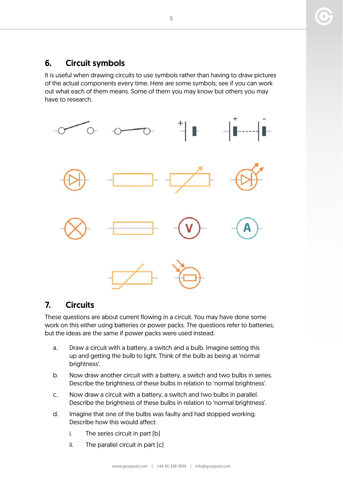#### 6. Circuit symbols

It is useful when drawing circuits to use symbols rather than having to draw pictures of the actual components every time. Here are some symbols; see if you can work out what each of them means. Some of them you may know but others you may have to research.



#### 7. Circuits

These questions are about current flowing in a circuit. You may have done some work on this either using batteries or power packs. The questions refer to batteries, but the ideas are the same if power packs were used instead.

- a. Draw a circuit with a battery, a switch and a bulb. Imagine setting this up and getting the bulb to light. Think of the bulb as being at 'normal brightness'.
- b. Now draw another circuit with a battery, a switch and two bulbs in series. Describe the brightness of these bulbs in relation to 'normal brightness'.
- c. Now draw a circuit with a battery, a switch and two bulbs in parallel. Describe the brightness of these bulbs in relation to 'normal brightness'.
- d. Imagine that one of the bulbs was faulty and had stopped working. Describe how this would affect:
	- i. The series circuit in part (b)
	- ii. The parallel circuit in part (c)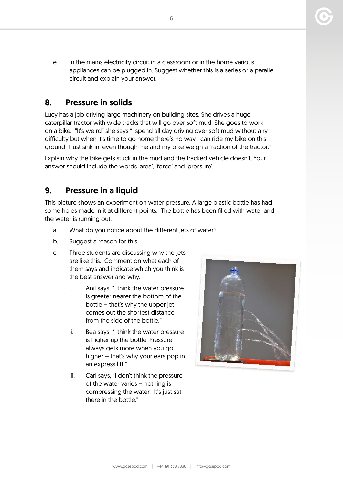e. In the mains electricity circuit in a classroom or in the home various appliances can be plugged in. Suggest whether this is a series or a parallel circuit and explain your answer.

#### 8. Pressure in solids

Lucy has a job driving large machinery on building sites. She drives a huge caterpillar tractor with wide tracks that will go over soft mud. She goes to work on a bike. "It's weird" she says "I spend all day driving over soft mud without any difficulty but when it's time to go home there's no way I can ride my bike on this ground. I just sink in, even though me and my bike weigh a fraction of the tractor."

Explain why the bike gets stuck in the mud and the tracked vehicle doesn't. Your answer should include the words 'area', 'force' and 'pressure'.

#### 9. Pressure in a liquid

This picture shows an experiment on water pressure. A large plastic bottle has had some holes made in it at different points. The bottle has been filled with water and the water is running out.

- a. What do you notice about the different jets of water?
- b. Suggest a reason for this.
- c. Three students are discussing why the jets are like this. Comment on what each of them says and indicate which you think is the best answer and why.
	- i. Anil says, "I think the water pressure is greater nearer the bottom of the bottle – that's why the upper jet comes out the shortest distance from the side of the bottle"
	- ii. Bea says, "I think the water pressure is higher up the bottle. Pressure always gets more when you go higher – that's why your ears pop in an express lift."
	- iii. Carl says, "I don't think the pressure of the water varies – nothing is compressing the water. It's just sat there in the bottle."